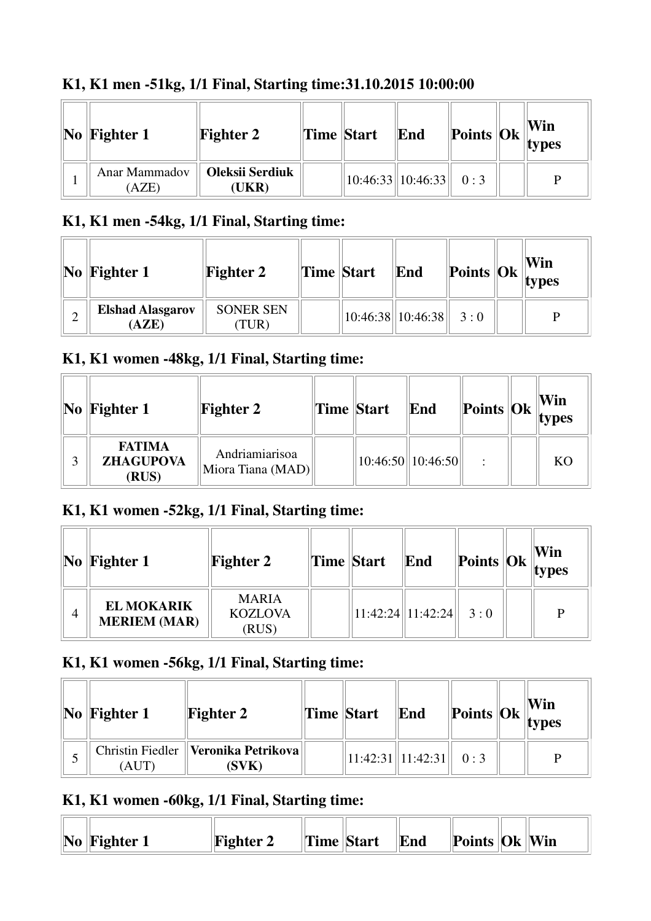| $\bf{No}$ Fighter 1           | <b>Fighter 2</b>                | <b>Time Start</b> | End                           |  | Win<br>$\blacksquare$  Points  Ok    types |
|-------------------------------|---------------------------------|-------------------|-------------------------------|--|--------------------------------------------|
| <b>Anar Mammadov</b><br>(AZE) | <b>Oleksii Serdiuk</b><br>(UKR) |                   | $10:46:33$   10:46:33   0 : 3 |  | D                                          |

### **K1, K1 men -51kg, 1/1 Final, Starting time:31.10.2015 10:00:00**

#### **K1, K1 men -54kg, 1/1 Final, Starting time:**

| $ No $ Fighter 1                 | <b>Fighter 2</b>         | <b>Time Start</b> | End                           | Points $\begin{bmatrix} 0k \\ \text{types} \end{bmatrix}$ | Win |
|----------------------------------|--------------------------|-------------------|-------------------------------|-----------------------------------------------------------|-----|
| <b>Elshad Alasgarov</b><br>(AZE) | <b>SONER SEN</b><br>TUR) |                   | $ 10:46:38  10:46:38  $ 3 : 0 |                                                           |     |

### **K1, K1 women -48kg, 1/1 Final, Starting time:**

| $\bf{No}$ Fighter 1                        | <b>Fighter 2</b>                    | Time Start | End                   |  | Win<br>$\left\Vert \mathbf{Points}\right\Vert \mathbf{Ok}\left\Vert \mathbf{types}\right\Vert$ |
|--------------------------------------------|-------------------------------------|------------|-----------------------|--|------------------------------------------------------------------------------------------------|
| <b>FATIMA</b><br><b>ZHAGUPOVA</b><br>(RUS) | Andriamiarisoa<br>Miora Tiana (MAD) |            | $10:46:50$   10:46:50 |  | K <sub>O</sub>                                                                                 |

#### **K1, K1 women -52kg, 1/1 Final, Starting time:**

|   | $\vert$ No $\vert$ Fighter 1             | <b>Fighter 2</b>                        | Time Start | End                         | Points $\ Ok\ _{\text{types}}^{\text{VIII}}$ | Win |
|---|------------------------------------------|-----------------------------------------|------------|-----------------------------|----------------------------------------------|-----|
| 4 | <b>EL MOKARIK</b><br><b>MERIEM (MAR)</b> | <b>MARIA</b><br><b>KOZLOVA</b><br>(RUS) |            | $11:42:24$   11:42:24   3:0 |                                              | P   |

#### **K1, K1 women -56kg, 1/1 Final, Starting time:**

| $\vert$ No $\vert$ Fighter 1 | <b>Fighter 2</b>                                 | Time Start | End                           |  | Win<br><b>Points Ok</b> $\ $ <b>Cover 1</b> |
|------------------------------|--------------------------------------------------|------------|-------------------------------|--|---------------------------------------------|
| 'AUT                         | Christin Fiedler   Veronika Petrikova  <br>(SVK) |            | $11:42:31$   11:42:31   0 : 3 |  | P                                           |

### **K1, K1 women -60kg, 1/1 Final, Starting time:**

| $\bf{No}$ Fighter 1 | <b>Fighter 2</b> | Time Start | End | Points   Ok   Win |  |
|---------------------|------------------|------------|-----|-------------------|--|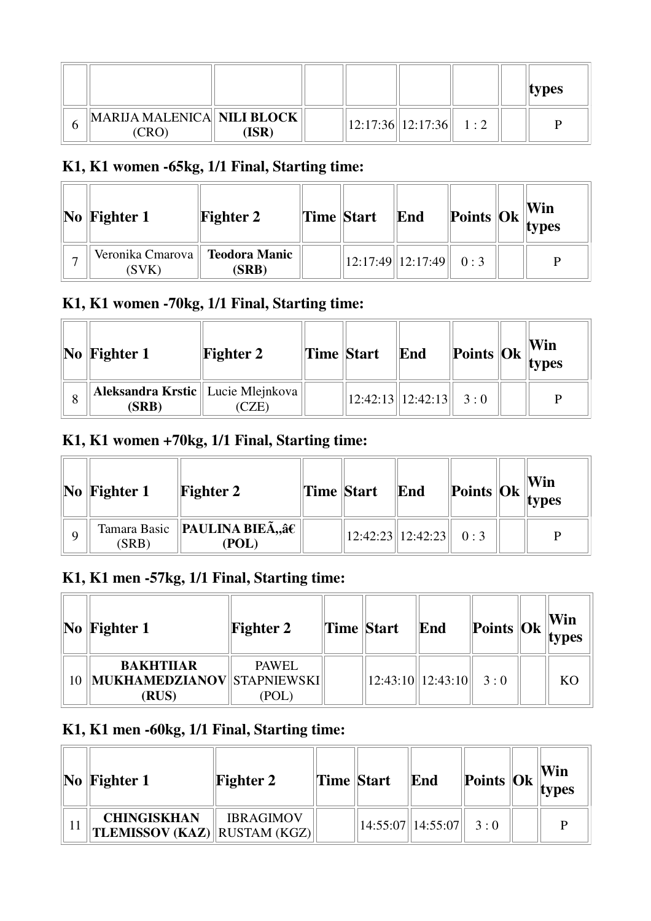|                                     |      |  |                          |  | types |
|-------------------------------------|------|--|--------------------------|--|-------|
| MARIJA MALENICA NILI BLOCK<br>(CRO) | ISR) |  | 12:17:36  12:17:36   1:2 |  |       |

## **K1, K1 women -65kg, 1/1 Final, Starting time:**

| $\vert$ No $\vert$ Fighter 1 | <b>Fighter 2</b>              | Time Start | End                           |  | Win<br>$\frac{1}{2}$ Points Ok types |
|------------------------------|-------------------------------|------------|-------------------------------|--|--------------------------------------|
| Veronika Cmarova   <br>(SVK) | <b>Teodora Manic</b><br>(SRB) |            | $12:17:49$   12:17:49   0 : 3 |  | D                                    |

### **K1, K1 women -70kg, 1/1 Final, Starting time:**

| $\vert$ No $\vert$ Fighter 1                  | <b>Fighter 2</b> | Time Start | End                           | $\left\Vert \text{Points} \right\Vert_{\text{types}}^{\text{V}}$ | Win |
|-----------------------------------------------|------------------|------------|-------------------------------|------------------------------------------------------------------|-----|
| Aleksandra Krstic    Lucie Mlejnkova<br>(SRB) |                  |            | $12:42:13$   12:42:13   3 : 0 |                                                                  | D   |

### **K1, K1 women +70kg, 1/1 Final, Starting time:**

| $\vert\mathbf{No}\vert\mathbf{Figure 1}$ | <b>Fighter 2</b>                                  | Time Start | End                           | $\frac{1}{2}$ Points $\frac{1}{2}$ Ok $\frac{1}{2}$ Lypes |   |
|------------------------------------------|---------------------------------------------------|------------|-------------------------------|-----------------------------------------------------------|---|
| (SRB)                                    | Tamara Basic    <b>PAULINA BIEÃ,</b> ,† <br>(POL) |            | $12:42:23$   12:42:23   0 : 3 |                                                           | D |

### **K1, K1 men -57kg, 1/1 Final, Starting time:**

| $\vert$ No $\vert$ Fighter 1          | <b>Fighter 2</b> | <b>Time Start</b> | End                         | $\  \textbf{Points} \ \textbf{Ok}\ _{\textbf{types}}$ | Win |
|---------------------------------------|------------------|-------------------|-----------------------------|-------------------------------------------------------|-----|
| <b>BAKHTIJAR</b>                      | <b>PAWEL</b>     |                   |                             |                                                       |     |
| MUKHAMEDZIANOV  STAPNIEWSKI <br>(RUS) | (POL)            |                   | $12:43:10$   12:43:10   3:0 |                                                       | KО  |

## **K1, K1 men -60kg, 1/1 Final, Starting time:**

| $\bf{No}$   Fighter 1                                     | <b>Fighter 2</b> | Time Start | End                         |  | Win<br>$\ $ Points $\ $ Ok $\ $ types |
|-----------------------------------------------------------|------------------|------------|-----------------------------|--|---------------------------------------|
| <b>CHINGISKHAN</b><br><b>TLEMISSOV (KAZ)</b> RUSTAM (KGZ) | <b>IBRAGIMOV</b> |            | $14:55:07$   14:55:07   3:0 |  |                                       |